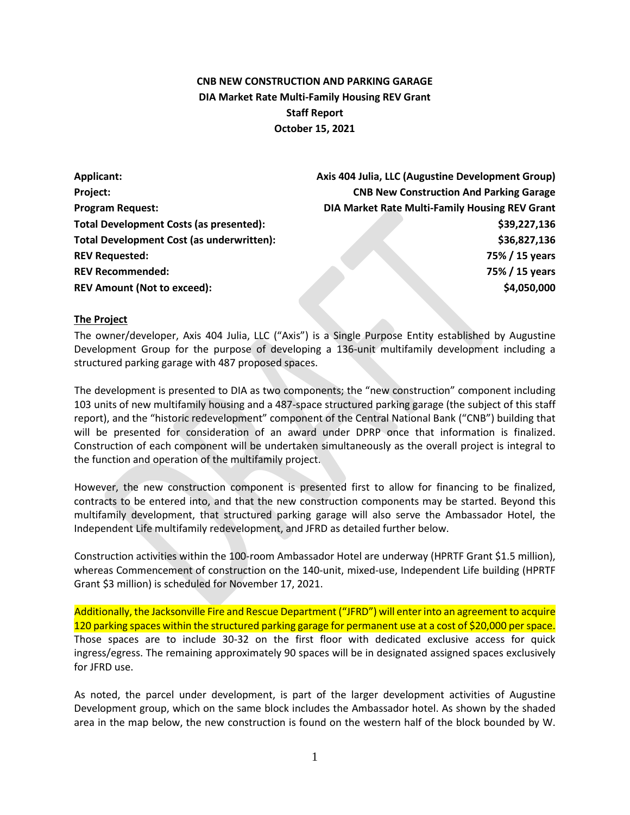# **CNB NEW CONSTRUCTION AND PARKING GARAGE DIA Market Rate Multi-Family Housing REV Grant Staff Report October 15, 2021**

| Applicant:                                       | Axis 404 Julia, LLC (Augustine Development Group) |  |  |
|--------------------------------------------------|---------------------------------------------------|--|--|
| Project:                                         | <b>CNB New Construction And Parking Garage</b>    |  |  |
| <b>Program Request:</b>                          | DIA Market Rate Multi-Family Housing REV Grant    |  |  |
| Total Development Costs (as presented):          | \$39,227,136                                      |  |  |
| <b>Total Development Cost (as underwritten):</b> | \$36,827,136                                      |  |  |
| <b>REV Requested:</b>                            | 75% / 15 years                                    |  |  |
| <b>REV Recommended:</b>                          | 75% / 15 years                                    |  |  |
| <b>REV Amount (Not to exceed):</b>               | \$4,050,000                                       |  |  |

#### **The Project**

The owner/developer, Axis 404 Julia, LLC ("Axis") is a Single Purpose Entity established by Augustine Development Group for the purpose of developing a 136-unit multifamily development including a structured parking garage with 487 proposed spaces.

The development is presented to DIA as two components; the "new construction" component including 103 units of new multifamily housing and a 487-space structured parking garage (the subject of this staff report), and the "historic redevelopment" component of the Central National Bank ("CNB") building that will be presented for consideration of an award under DPRP once that information is finalized. Construction of each component will be undertaken simultaneously as the overall project is integral to the function and operation of the multifamily project.

However, the new construction component is presented first to allow for financing to be finalized, contracts to be entered into, and that the new construction components may be started. Beyond this multifamily development, that structured parking garage will also serve the Ambassador Hotel, the Independent Life multifamily redevelopment, and JFRD as detailed further below.

Construction activities within the 100-room Ambassador Hotel are underway (HPRTF Grant \$1.5 million), whereas Commencement of construction on the 140-unit, mixed-use, Independent Life building (HPRTF Grant \$3 million) is scheduled for November 17, 2021.

Additionally, the Jacksonville Fire and Rescue Department ("JFRD") will enter into an agreement to acquire 120 parking spaces within the structured parking garage for permanent use at a cost of \$20,000 per space. Those spaces are to include 30-32 on the first floor with dedicated exclusive access for quick ingress/egress. The remaining approximately 90 spaces will be in designated assigned spaces exclusively for JFRD use.

As noted, the parcel under development, is part of the larger development activities of Augustine Development group, which on the same block includes the Ambassador hotel. As shown by the shaded area in the map below, the new construction is found on the western half of the block bounded by W.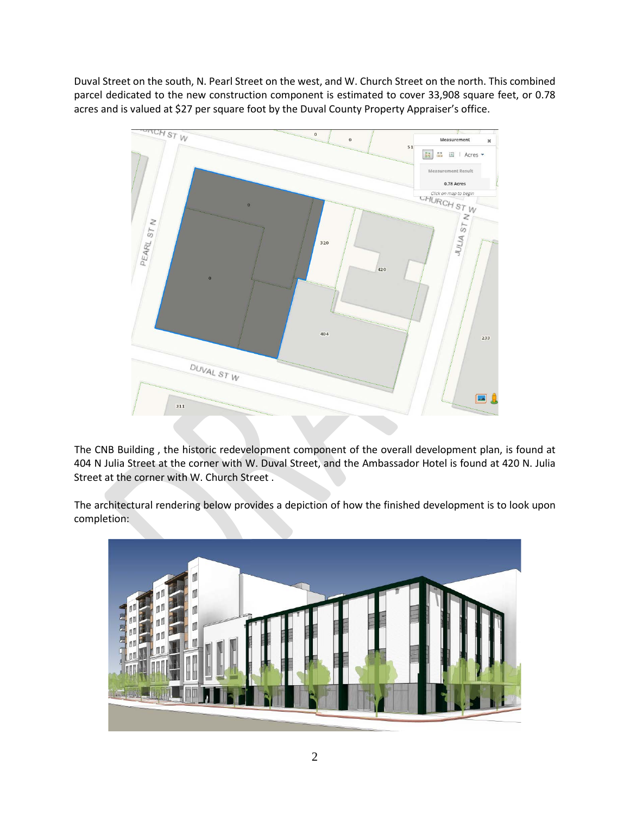Duval Street on the south, N. Pearl Street on the west, and W. Church Street on the north. This combined parcel dedicated to the new construction component is estimated to cover 33,908 square feet, or 0.78 acres and is valued at \$27 per square foot by the Duval County Property Appraiser's office.



The CNB Building , the historic redevelopment component of the overall development plan, is found at 404 N Julia Street at the corner with W. Duval Street, and the Ambassador Hotel is found at 420 N. Julia Street at the corner with W. Church Street .

The architectural rendering below provides a depiction of how the finished development is to look upon completion:

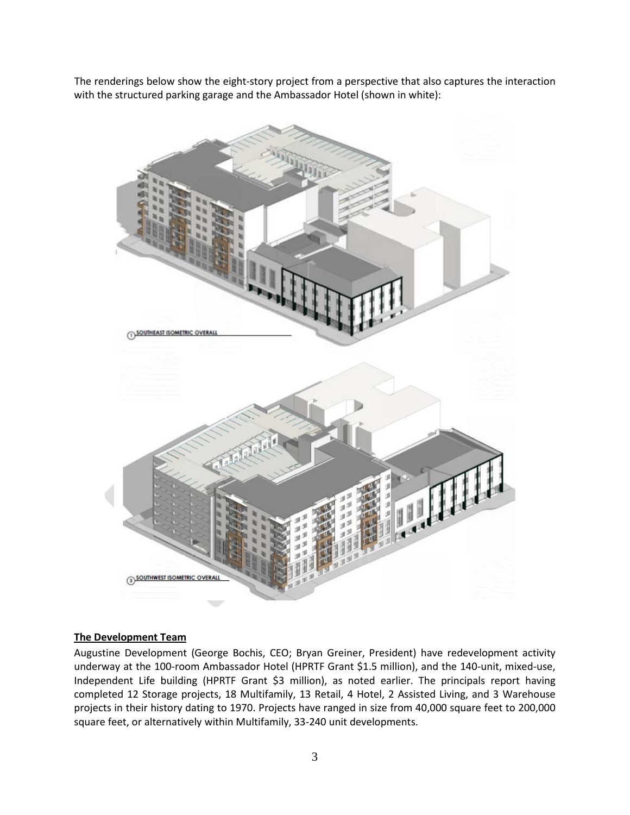The renderings below show the eight-story project from a perspective that also captures the interaction with the structured parking garage and the Ambassador Hotel (shown in white):



#### **The Development Team**

Augustine Development (George Bochis, CEO; Bryan Greiner, President) have redevelopment activity underway at the 100-room Ambassador Hotel (HPRTF Grant \$1.5 million), and the 140-unit, mixed-use, Independent Life building (HPRTF Grant \$3 million), as noted earlier. The principals report having completed 12 Storage projects, 18 Multifamily, 13 Retail, 4 Hotel, 2 Assisted Living, and 3 Warehouse projects in their history dating to 1970. Projects have ranged in size from 40,000 square feet to 200,000 square feet, or alternatively within Multifamily, 33-240 unit developments.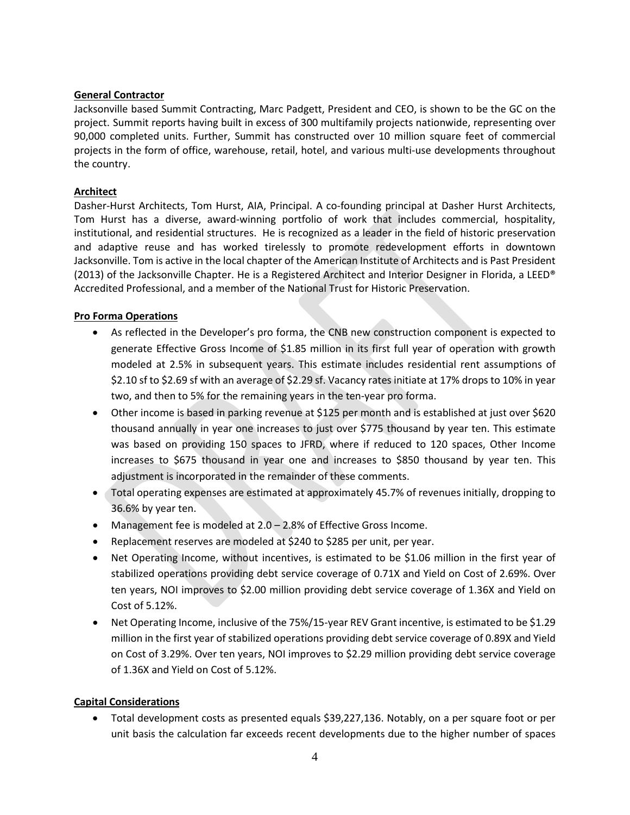#### **General Contractor**

Jacksonville based Summit Contracting, Marc Padgett, President and CEO, is shown to be the GC on the project. Summit reports having built in excess of 300 multifamily projects nationwide, representing over 90,000 completed units. Further, Summit has constructed over 10 million square feet of commercial projects in the form of office, warehouse, retail, hotel, and various multi-use developments throughout the country.

### **Architect**

Dasher-Hurst Architects, Tom Hurst, AIA, Principal. A co-founding principal at Dasher Hurst Architects, Tom Hurst has a diverse, award-winning portfolio of work that includes commercial, hospitality, institutional, and residential structures. He is recognized as a leader in the field of historic preservation and adaptive reuse and has worked tirelessly to promote redevelopment efforts in downtown Jacksonville. Tom is active in the local chapter of the American Institute of Architects and is Past President (2013) of the Jacksonville Chapter. He is a Registered Architect and Interior Designer in Florida, a LEED® Accredited Professional, and a member of the National Trust for Historic Preservation.

### **Pro Forma Operations**

- As reflected in the Developer's pro forma, the CNB new construction component is expected to generate Effective Gross Income of \$1.85 million in its first full year of operation with growth modeled at 2.5% in subsequent years. This estimate includes residential rent assumptions of \$2.10 sf to \$2.69 sf with an average of \$2.29 sf. Vacancy rates initiate at 17% drops to 10% in year two, and then to 5% for the remaining years in the ten-year pro forma.
- Other income is based in parking revenue at \$125 per month and is established at just over \$620 thousand annually in year one increases to just over \$775 thousand by year ten. This estimate was based on providing 150 spaces to JFRD, where if reduced to 120 spaces, Other Income increases to \$675 thousand in year one and increases to \$850 thousand by year ten. This adjustment is incorporated in the remainder of these comments.
- Total operating expenses are estimated at approximately 45.7% of revenues initially, dropping to 36.6% by year ten.
- Management fee is modeled at 2.0 2.8% of Effective Gross Income.
- Replacement reserves are modeled at \$240 to \$285 per unit, per year.
- Net Operating Income, without incentives, is estimated to be \$1.06 million in the first year of stabilized operations providing debt service coverage of 0.71X and Yield on Cost of 2.69%. Over ten years, NOI improves to \$2.00 million providing debt service coverage of 1.36X and Yield on Cost of 5.12%.
- Net Operating Income, inclusive of the 75%/15-year REV Grant incentive, is estimated to be \$1.29 million in the first year of stabilized operations providing debt service coverage of 0.89X and Yield on Cost of 3.29%. Over ten years, NOI improves to \$2.29 million providing debt service coverage of 1.36X and Yield on Cost of 5.12%.

# **Capital Considerations**

• Total development costs as presented equals \$39,227,136. Notably, on a per square foot or per unit basis the calculation far exceeds recent developments due to the higher number of spaces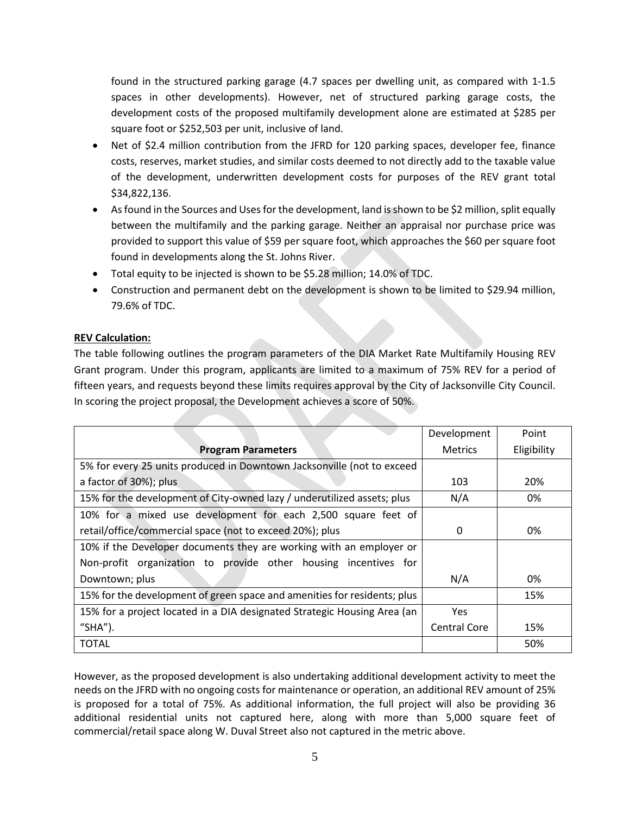found in the structured parking garage (4.7 spaces per dwelling unit, as compared with 1-1.5 spaces in other developments). However, net of structured parking garage costs, the development costs of the proposed multifamily development alone are estimated at \$285 per square foot or \$252,503 per unit, inclusive of land.

- Net of \$2.4 million contribution from the JFRD for 120 parking spaces, developer fee, finance costs, reserves, market studies, and similar costs deemed to not directly add to the taxable value of the development, underwritten development costs for purposes of the REV grant total \$34,822,136.
- As found in the Sources and Uses for the development, land is shown to be \$2 million, split equally between the multifamily and the parking garage. Neither an appraisal nor purchase price was provided to support this value of \$59 per square foot, which approaches the \$60 per square foot found in developments along the St. Johns River.
- Total equity to be injected is shown to be \$5.28 million; 14.0% of TDC.
- Construction and permanent debt on the development is shown to be limited to \$29.94 million, 79.6% of TDC.

# **REV Calculation:**

The table following outlines the program parameters of the DIA Market Rate Multifamily Housing REV Grant program. Under this program, applicants are limited to a maximum of 75% REV for a period of fifteen years, and requests beyond these limits requires approval by the City of Jacksonville City Council. In scoring the project proposal, the Development achieves a score of 50%.

|                                                                          | Development         | Point       |
|--------------------------------------------------------------------------|---------------------|-------------|
| <b>Program Parameters</b>                                                | Metrics             | Eligibility |
| 5% for every 25 units produced in Downtown Jacksonville (not to exceed   |                     |             |
| a factor of 30%); plus                                                   | 103                 | 20%         |
| 15% for the development of City-owned lazy / underutilized assets; plus  | N/A                 | 0%          |
| 10% for a mixed use development for each 2,500 square feet of            |                     |             |
| retail/office/commercial space (not to exceed 20%); plus                 | 0                   | 0%          |
| 10% if the Developer documents they are working with an employer or      |                     |             |
| Non-profit organization to provide other housing incentives for          |                     |             |
| Downtown; plus                                                           | N/A                 | 0%          |
| 15% for the development of green space and amenities for residents; plus |                     | 15%         |
| 15% for a project located in a DIA designated Strategic Housing Area (an | Yes                 |             |
| " $SHA$ ").                                                              | <b>Central Core</b> | 15%         |
| <b>TOTAL</b>                                                             |                     | 50%         |

However, as the proposed development is also undertaking additional development activity to meet the needs on the JFRD with no ongoing costs for maintenance or operation, an additional REV amount of 25% is proposed for a total of 75%. As additional information, the full project will also be providing 36 additional residential units not captured here, along with more than 5,000 square feet of commercial/retail space along W. Duval Street also not captured in the metric above.